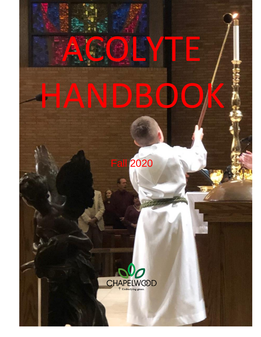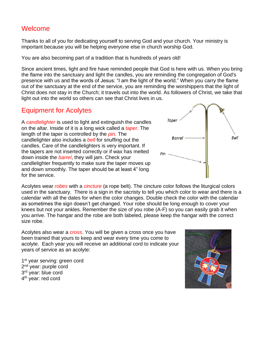#### Welcome

Thanks to all of you for dedicating yourself to serving God and your church. Your ministry is important because you will be helping everyone else in church worship God.

You are also becoming part of a tradition that is hundreds of years old!

Since ancient times, light and fire have reminded people that God is here with us. When you bring the flame into the sanctuary and light the candles, you are reminding the congregation of God's presence with us and the words of Jesus: "I am the light of the world." When you carry the flame out of the sanctuary at the end of the service, you are reminding the worshippers that the light of Christ does not stay in the Church; it travels out into the world. As followers of Christ, we take that light out into the world so others can see that Christ lives in us.

### Equipment for Acolytes

A *candlelighter* is used to light and extinguish the candles on the altar. Inside of it is a long wick called a *taper*. The length of the taper is controlled by the *pin*. The candlelighter also includes a *bell* for snuffing out the candles. Care of the candlelighters is very important. If the tapers are not inserted correctly or if wax has melted down inside the *barrel*, they will jam. Check your candlelighter frequently to make sure the taper moves up and down smoothly. The taper should be at least 4" long for the service.

Acolytes wear *robes* with a *cincture* (a rope belt). The cincture color follows the liturgical colors used in the sanctuary. There is a sign in the sacristy to tell you which color to wear and there is a calendar with all the dates for when the color changes. Double check the color with the calendar as sometimes the sign doesn't get changed. Your robe should be long enough to cover your knees but not your ankles. Remember the size of you robe (A-F) so you can easily grab it when you arrive. The hangar and the robe are both labeled, please keep the hangar with the correct size robe.

Acolytes also wear a *cross*. You will be given a cross once you have been trained that yours to keep and wear every time you come to acolyte. Each year you will receive an additional cord to indicate your years of service as an acolyte:

1<sup>st</sup> year serving: green cord 2<sup>nd</sup> year: purple cord 3<sup>rd</sup> year: blue cord 4<sup>th</sup> year: red cord



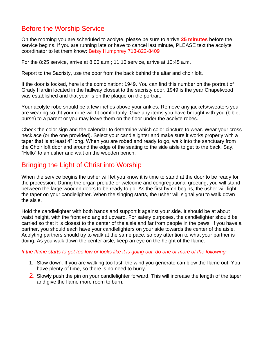# Before the Worship Service

On the morning you are scheduled to acolyte, please be sure to arrive **25 minutes** before the service begins. If you are running late or have to cancel last minute, PLEASE text the acolyte coordinator to let them know: Betsy Humphrey 713-822-8409

For the 8:25 service, arrive at 8:00 a.m.; 11:10 service, arrive at 10:45 a.m.

Report to the Sacristy, use the door from the back behind the altar and choir loft.

If the door is locked, here is the combination: 1949. You can find this number on the portrait of Grady Hardin located in the hallway closest to the sacristy door. 1949 is the year Chapelwood was established and that year is on the plaque on the portrait.

Your acolyte robe should be a few inches above your ankles. Remove any jackets/sweaters you are wearing so tht your robe will fit comfortably. Give any items you have brought with you (bible, purse) to a parent or you may leave them on the floor under the acolyte robes.

Check the color sign and the calendar to determine which color cincture to wear. Wear your cross necklace (or the one provided). Select your candlelighter and make sure it works properly with a taper that is at least 4" long. When you are robed and ready to go, walk into the sanctuary from the Choir loft door and around the edge of the seating to the side aisle to get to the back. Say, "Hello" to an usher and wait on the wooden bench.

### Bringing the Light of Christ into Worship

When the service begins the usher will let you know it is time to stand at the door to be ready for the procession. During the organ prelude or welcome and congregational greeting, you will stand between the large wooden doors to be ready to go. As the first hymn begins, the usher will light the taper on your candlelighter. When the singing starts, the usher will signal you to walk down the aisle.

Hold the candlelighter with both hands and support it against your side. It should be at about waist height, with the front end angled upward. For safety purposes, the candlelighter should be carried so that it is closest to the center of the aisle and far from people in the pews. If you have a partner, you should each have your candlelighters on your side towards the center of the aisle. Acolyting partners should try to walk at the same pace, so pay attention to what your partner is doing. As you walk down the center aisle, keep an eye on the height of the flame.

*If the flame starts to get too low or looks like it is going out, do one or more of the following:*

- 1. Slow down. If you are walking too fast, the wind you generate can blow the flame out. You have plenty of time, so there is no need to hurry.
- 2. Slowly push the pin on your candlelighter forward. This will increase the length of the taper and give the flame more room to burn.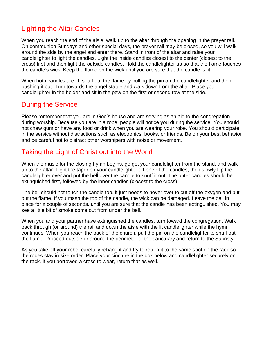## Lighting the Altar Candles

When you reach the end of the aisle, walk up to the altar through the opening in the prayer rail. On communion Sundays and other special days, the prayer rail may be closed, so you will walk around the side by the angel and enter there. Stand in front of the altar and raise your candlelighter to light the candles. Light the inside candles closest to the center (closest to the cross) first and then light the outside candles. Hold the candlelighter up so that the flame touches the candle's wick. Keep the flame on the wick until you are sure that the candle is lit.

When both candles are lit, snuff out the flame by pulling the pin on the candlelighter and then pushing it out. Turn towards the angel statue and walk down from the altar. Place your candlelighter in the holder and sit in the pew on the first or second row at the side.

### During the Service

Please remember that you are in God's house and are serving as an aid to the congregation during worship. Because you are in a robe, people will notice you during the service. You should not chew gum or have any food or drink when you are wearing your robe. You should participate in the service without distractions such as electronics, books, or friends. Be on your best behavior and be careful not to distract other worshipers with noise or movement.

# Taking the Light of Christ out into the World

When the music for the closing hymn begins, go get your candlelighter from the stand, and walk up to the altar. Light the taper on your candlelighter off one of the candles, then slowly flip the candlelighter over and put the bell over the candle to snuff it out. The outer candles should be extinguished first, followed by the inner candles (closest to the cross).

The bell should not touch the candle top, it just needs to hover over to cut off the oxygen and put out the flame. If you mash the top of the candle, the wick can be damaged. Leave the bell in place for a couple of seconds, until you are sure that the candle has been extinguished. You may see a little bit of smoke come out from under the bell.

When you and your partner have extinguished the candles, turn toward the congregation. Walk back through (or around) the rail and down the aisle with the lit candlelighter while the hymn continues. When you reach the back of the church, pull the pin on the candlelighter to snuff out the flame. Proceed outside or around the perimeter of the sanctuary and return to the Sacristy.

As you take off your robe, carefully rehang it and try to return it to the same spot on the rack so the robes stay in size order. Place your cincture in the box below and candlelighter securely on the rack. If you borrowed a cross to wear, return that as well.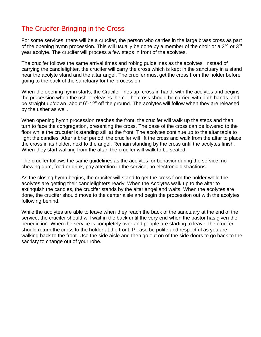# The Crucifer-Bringing in the Cross

For some services, there will be a crucifer, the person who carries in the large brass cross as part of the opening hymn procession. This will usually be done by a member of the choir or a 2<sup>nd</sup> or 3<sup>rd</sup> year acolyte. The crucifer will process a few steps in front of the acolytes.

The crucifer follows the same arrival times and robing guidelines as the acolytes. Instead of carrying the candlelighter, the crucifer will carry the cross which is kept in the sanctuary in a stand near the acolyte stand and the altar angel. The crucifer must get the cross from the holder before going to the back of the sanctuary for the procession.

When the opening hymn starts, the Crucifer lines up, cross in hand, with the acolytes and begins the procession when the usher releases them. The cross should be carried with both hands, and be straight up/down, about 6"-12" off the ground. The acolytes will follow when they are released by the usher as well.

When opening hymn procession reaches the front, the crucifer will walk up the steps and then turn to face the congregation, presenting the cross. The base of the cross can be lowered to the floor while the crucufer is standing still at the front. The acolytes continue up to the altar table to light the candles. After a brief period, the crucifer will lift the cross and walk from the altar to place the cross in its holder, next to the angel. Remain standing by the cross until the acolytes finish. When they start walking from the altar, the crucifer will walk to be seated.

The crucifer follows the same guidelines as the acolytes for behavior during the service: no chewing gum, food or drink, pay attention in the service, no electronic distractions.

As the closing hymn begins, the crucifer will stand to get the cross from the holder while the acolytes are getting their candlelighters ready. When the Acolytes walk up to the altar to extinguish the candles, the crucifer stands by the altar angel and waits. When the acolytes are done, the crucifer should move to the center aisle and begin the procession out with the acolytes following behind.

While the acolytes are able to leave when they reach the back of the sanctuary at the end of the service, the crucifer should will wait in the back until the very end when the pastor has given the benediction. When the service is completely over and people are starting to leave, the crucifer should return the cross to the holder at the front. Please be polite and respectful as you are walking back to the front. Use the side aisle and then go out on of the side doors to go back to the sacristy to change out of your robe.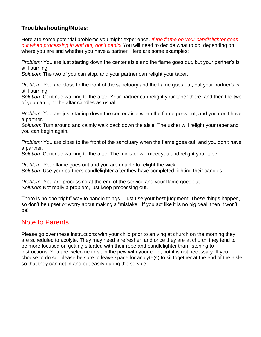#### **Troubleshooting/Notes:**

Here are some potential problems you might experience. *If the flame on your candlelighter goes out when processing in and out, don't panic!* You will need to decide what to do, depending on where you are and whether you have a partner. Here are some examples:

*Problem:* You are just starting down the center aisle and the flame goes out, but your partner's is still burning.

*Solution:* The two of you can stop, and your partner can relight your taper.

*Problem:* You are close to the front of the sanctuary and the flame goes out, but your partner's is still burning.

*Solution:* Continue walking to the altar. Your partner can relight your taper there, and then the two of you can light the altar candles as usual.

*Problem:* You are just starting down the center aisle when the flame goes out, and you don't have a partner.

*Solution:* Turn around and calmly walk back down the aisle. The usher will relight your taper and you can begin again.

*Problem:* You are close to the front of the sanctuary when the flame goes out, and you don't have a partner.

*Solution:* Continue walking to the altar. The minister will meet you and relight your taper.

*Problem:* Your flame goes out and you are unable to relight the wick.. *Solution:* Use your partners candlelighter after they have completed lighting their candles.

*Problem:* You are processing at the end of the service and your flame goes out. *Solution*: Not really a problem, just keep processing out.

There is no one "right" way to handle things – just use your best judgment! These things happen, so don't be upset or worry about making a "mistake." If you act like it is no big deal, then it won't be!

#### Note to Parents

Please go over these instructions with your child prior to arriving at church on the morning they are scheduled to acolyte. They may need a refresher, and once they are at church they tend to be more focused on getting situated with their robe and candlelighter than listening to instructions. You are welcome to sit in the pew with your child, but it is not necessary. If you choose to do so, please be sure to leave space for acolyte(s) to sit together at the end of the aisle so that they can get in and out easily during the service.